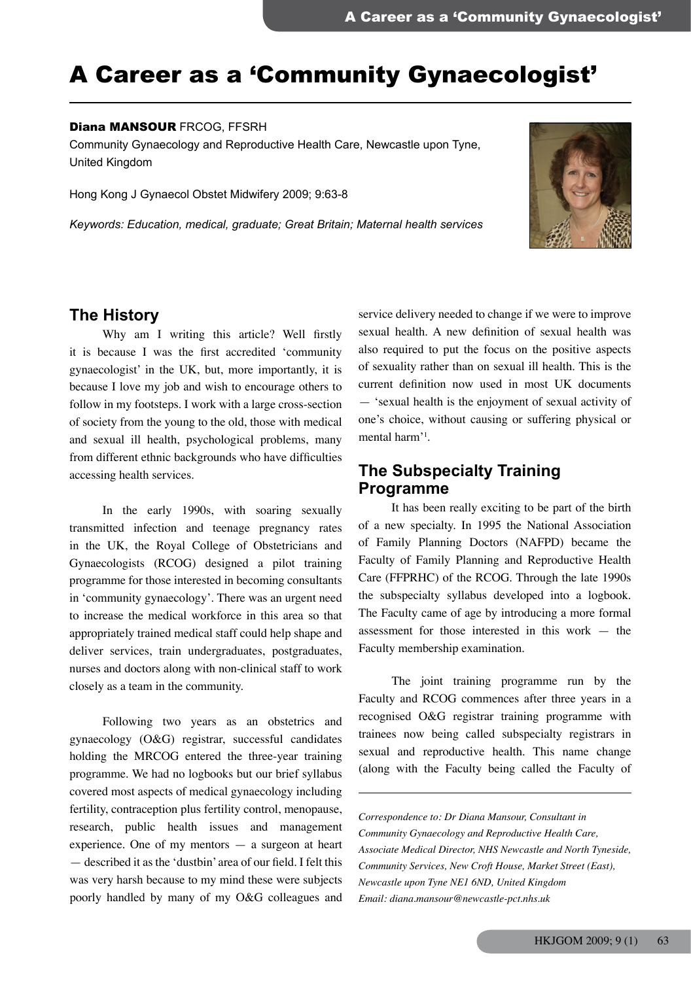# A Career as a 'Community Gynaecologist'

#### Diana MANSOUR FRCOG, FFSRH

Community Gynaecology and Reproductive Health Care, Newcastle upon Tyne, United Kingdom

Hong Kong J Gynaecol Obstet Midwifery 2009; 9:63-8

*Keywords: Education, medical, graduate; Great Britain; Maternal health services*



## **The History**

 Why am I writing this article? Well firstly it is because I was the first accredited 'community gynaecologist' in the UK, but, more importantly, it is because I love my job and wish to encourage others to follow in my footsteps. I work with a large cross-section of society from the young to the old, those with medical and sexual ill health, psychological problems, many from different ethnic backgrounds who have difficulties accessing health services.

 In the early 1990s, with soaring sexually transmitted infection and teenage pregnancy rates in the UK, the Royal College of Obstetricians and Gynaecologists (RCOG) designed a pilot training programme for those interested in becoming consultants in 'community gynaecology'. There was an urgent need to increase the medical workforce in this area so that appropriately trained medical staff could help shape and deliver services, train undergraduates, postgraduates, nurses and doctors along with non-clinical staff to work closely as a team in the community.

 Following two years as an obstetrics and gynaecology (O&G) registrar, successful candidates holding the MRCOG entered the three-year training programme. We had no logbooks but our brief syllabus covered most aspects of medical gynaecology including fertility, contraception plus fertility control, menopause, research, public health issues and management experience. One of my mentors — a surgeon at heart — described it as the 'dustbin' area of our field. I felt this was very harsh because to my mind these were subjects poorly handled by many of my O&G colleagues and

service delivery needed to change if we were to improve sexual health. A new definition of sexual health was also required to put the focus on the positive aspects of sexuality rather than on sexual ill health. This is the current definition now used in most UK documents — 'sexual health is the enjoyment of sexual activity of one's choice, without causing or suffering physical or mental harm'<sup>1</sup> .

# **The Subspecialty Training Programme**

 It has been really exciting to be part of the birth of a new specialty. In 1995 the National Association of Family Planning Doctors (NAFPD) became the Faculty of Family Planning and Reproductive Health Care (FFPRHC) of the RCOG. Through the late 1990s the subspecialty syllabus developed into a logbook. The Faculty came of age by introducing a more formal assessment for those interested in this work — the Faculty membership examination.

 The joint training programme run by the Faculty and RCOG commences after three years in a recognised O&G registrar training programme with trainees now being called subspecialty registrars in sexual and reproductive health. This name change (along with the Faculty being called the Faculty of

*Correspondence to: Dr Diana Mansour, Consultant in Community Gynaecology and Reproductive Health Care, Associate Medical Director, NHS Newcastle and North Tyneside, Community Services, New Croft House, Market Street (East), Newcastle upon Tyne NE1 6ND, United Kingdom Email: diana.mansour@newcastle-pct.nhs.uk*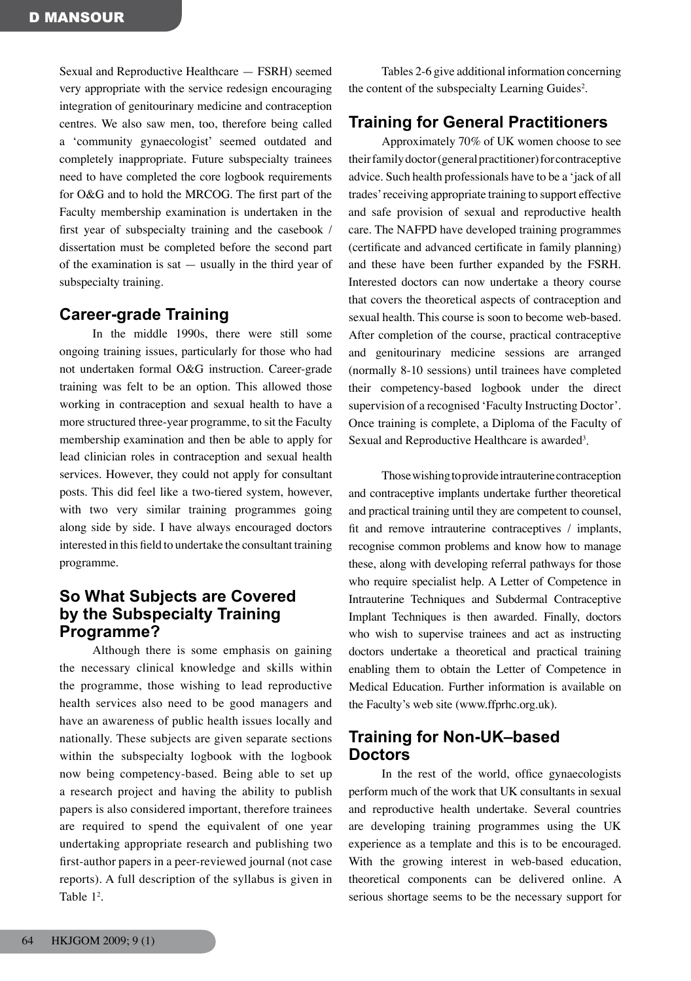Sexual and Reproductive Healthcare — FSRH) seemed very appropriate with the service redesign encouraging integration of genitourinary medicine and contraception centres. We also saw men, too, therefore being called a 'community gynaecologist' seemed outdated and completely inappropriate. Future subspecialty trainees need to have completed the core logbook requirements for O&G and to hold the MRCOG. The first part of the Faculty membership examination is undertaken in the first year of subspecialty training and the casebook / dissertation must be completed before the second part of the examination is sat — usually in the third year of subspecialty training.

# **Career-grade Training**

 In the middle 1990s, there were still some ongoing training issues, particularly for those who had not undertaken formal O&G instruction. Career-grade training was felt to be an option. This allowed those working in contraception and sexual health to have a more structured three-year programme, to sit the Faculty membership examination and then be able to apply for lead clinician roles in contraception and sexual health services. However, they could not apply for consultant posts. This did feel like a two-tiered system, however, with two very similar training programmes going along side by side. I have always encouraged doctors interested in this field to undertake the consultant training programme.

# **So What Subjects are Covered by the Subspecialty Training Programme?**

 Although there is some emphasis on gaining the necessary clinical knowledge and skills within the programme, those wishing to lead reproductive health services also need to be good managers and have an awareness of public health issues locally and nationally. These subjects are given separate sections within the subspecialty logbook with the logbook now being competency-based. Being able to set up a research project and having the ability to publish papers is also considered important, therefore trainees are required to spend the equivalent of one year undertaking appropriate research and publishing two first-author papers in a peer-reviewed journal (not case reports). A full description of the syllabus is given in Table  $1^2$ .

 Tables 2-6 give additional information concerning the content of the subspecialty Learning Guides<sup>2</sup>.

# **Training for General Practitioners**

 Approximately 70% of UK women choose to see their family doctor (general practitioner) for contraceptive advice. Such health professionals have to be a 'jack of all trades'receiving appropriate training to support effective and safe provision of sexual and reproductive health care. The NAFPD have developed training programmes (certificate and advanced certificate in family planning) and these have been further expanded by the FSRH. Interested doctors can now undertake a theory course that covers the theoretical aspects of contraception and sexual health. This course is soon to become web-based. After completion of the course, practical contraceptive and genitourinary medicine sessions are arranged (normally 8-10 sessions) until trainees have completed their competency-based logbook under the direct supervision of a recognised 'Faculty Instructing Doctor'. Once training is complete, a Diploma of the Faculty of Sexual and Reproductive Healthcare is awarded<sup>3</sup>.

Those wishing to provide intrauterine contraception and contraceptive implants undertake further theoretical and practical training until they are competent to counsel, fit and remove intrauterine contraceptives / implants, recognise common problems and know how to manage these, along with developing referral pathways for those who require specialist help. A Letter of Competence in Intrauterine Techniques and Subdermal Contraceptive Implant Techniques is then awarded. Finally, doctors who wish to supervise trainees and act as instructing doctors undertake a theoretical and practical training enabling them to obtain the Letter of Competence in Medical Education. Further information is available on the Faculty's web site (www.ffprhc.org.uk).

# **Training for Non-UK–based Doctors**

 In the rest of the world, office gynaecologists perform much of the work that UK consultants in sexual and reproductive health undertake. Several countries are developing training programmes using the UK experience as a template and this is to be encouraged. With the growing interest in web-based education, theoretical components can be delivered online. A serious shortage seems to be the necessary support for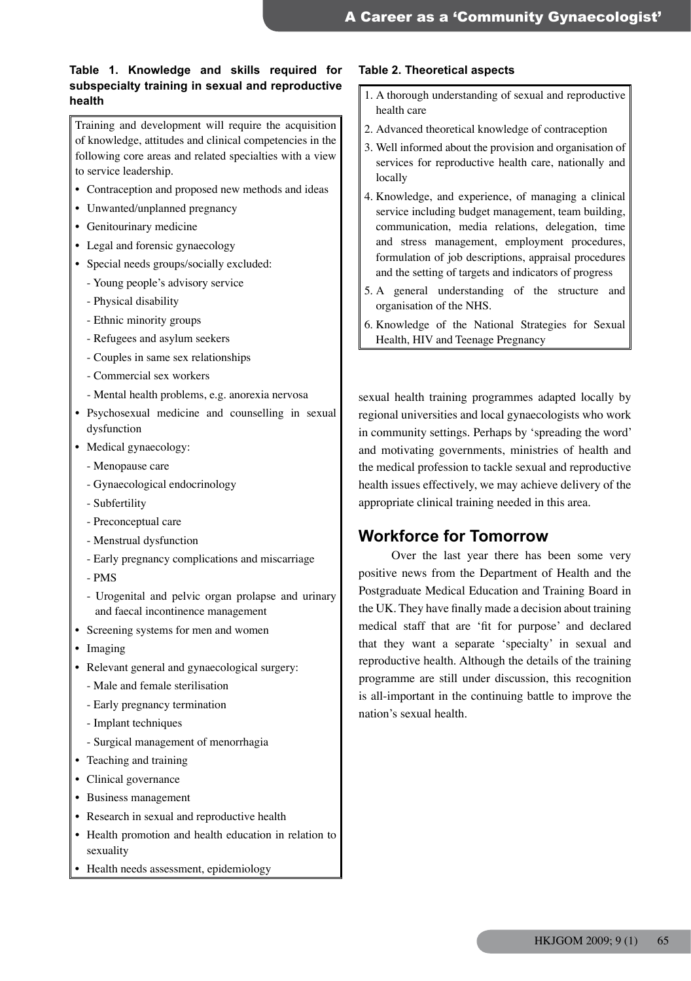## **Table 1. Knowledge and skills required for subspecialty training in sexual and reproductive health health health health health health health health health health health health health health health health health health health health health health health h h h h**

Training and development will require the acquisition of knowledge, attitudes and clinical competencies in the following core areas and related specialties with a view to service leadership.

- • Contraception and proposed new methods and ideas
- Unwanted/unplanned pregnancy
- • Genitourinary medicine
- Legal and forensic gynaecology
- Special needs groups/socially excluded:
	- Young people's advisory service
	- Physical disability
	- Ethnic minority groups
	- Refugees and asylum seekers
	- Couples in same sex relationships
	- Commercial sex workers
	- Mental health problems, e.g. anorexia nervosa
- • Psychosexual medicine and counselling in sexual dysfunction
- Medical gynaecology:
	- Menopause care
	- Gynaecological endocrinology
	- Subfertility
	- Preconceptual care
	- Menstrual dysfunction
	- Early pregnancy complications and miscarriage
	- PMS
	- Urogenital and pelvic organ prolapse and urinary and faecal incontinence management
- Screening systems for men and women
- Imaging
- Relevant general and gynaecological surgery:
	- Male and female sterilisation
	- Early pregnancy termination
	- Implant techniques
	- Surgical management of menorrhagia
- Teaching and training
- Clinical governance
- • Business management
- • Research in sexual and reproductive health
- Health promotion and health education in relation to sexuality
- Health needs assessment, epidemiology

### **Table 2. Theoretical aspects**

- health care
- 2. Advanced theoretical knowledge of contraception
- 3. Well informed about the provision and organisation of services for reproductive health care, nationally and locally
- 4. Knowledge, and experience, of managing a clinical service including budget management, team building, communication, media relations, delegation, time and stress management, employment procedures, formulation of job descriptions, appraisal procedures and the setting of targets and indicators of progress
- 5. A general understanding of the structure and organisation of the NHS.
- 6. Knowledge of the National Strategies for Sexual Health, HIV and Teenage Pregnancy

sexual health training programmes adapted locally by regional universities and local gynaecologists who work in community settings. Perhaps by 'spreading the word' and motivating governments, ministries of health and the medical profession to tackle sexual and reproductive health issues effectively, we may achieve delivery of the appropriate clinical training needed in this area.

# **Workforce for Tomorrow**

 Over the last year there has been some very positive news from the Department of Health and the Postgraduate Medical Education and Training Board in the UK. They have finally made a decision about training medical staff that are 'fit for purpose' and declared that they want a separate 'specialty' in sexual and reproductive health. Although the details of the training programme are still under discussion, this recognition is all-important in the continuing battle to improve the nation's sexual health.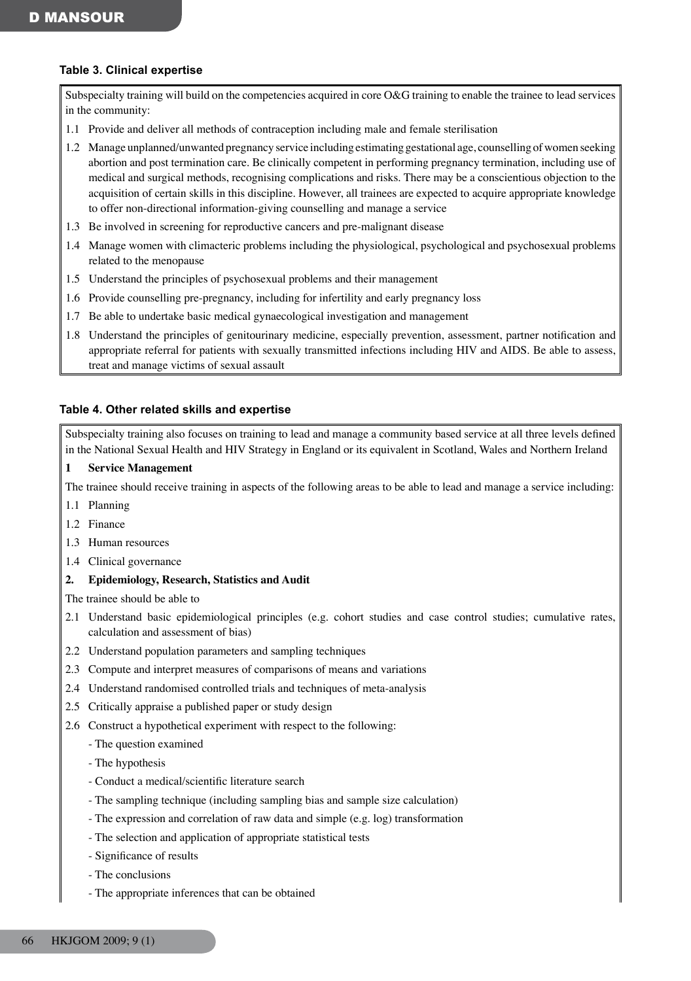## **Table 3. Clinical expertise**

Subspecialty training will build on the competencies acquired in core O&G training to enable the trainee to lead services in the community:

1.1 Provide and deliver all methods of contraception including male and female sterilisation

1.2 Manage unplanned/unwanted pregnancy service including estimating gestational age, counselling ofwomen seeking abortion and post termination care. Be clinically competent in performing pregnancy termination, including use of medical and surgical methods, recognising complications and risks. There may be a conscientious objection to the acquisition of certain skills in this discipline. However, all trainees are expected to acquire appropriate knowledge to offer non-directional information-giving counselling and manage a service

- 1.3 Be involved in screening for reproductive cancers and pre-malignant disease
- 1.4 Manage women with climacteric problems including the physiological, psychological and psychosexual problems related to the menopause
- 1.5 Understand the principles of psychosexual problems and their management
- 1.6 Provide counselling pre-pregnancy, including for infertility and early pregnancy loss
- 1.7 Be able to undertake basic medical gynaecological investigation and management
- 1.8 Understand the principles of genitourinary medicine, especially prevention, assessment, partner notification and appropriate referral for patients with sexually transmitted infections including HIV and AIDS. Be able to assess, treat and manage victims of sexual assault

## **Table 4. Other related skills and expertise**

Subspecialty training also focuses on training to lead and manage a community based service at all three levels defined in the National Sexual Health and HIV Strategy in England or its equivalent in Scotland, Wales and Northern Ireland

## **1 Service Management**

- The trainee should receive training in aspects of the following areas to be able to lead and manage a service including:
- 1.1 Planning
- 1.2 Finance
- 1.3 Human resources
- 1.4 Clinical governance
- **2. Epidemiology, Research, Statistics and Audit**

The trainee should be able to

- 2.1 Understand basic epidemiological principles (e.g. cohort studies and case control studies; cumulative rates, calculation and assessment of bias)
- 2.2 Understand population parameters and sampling techniques
- 2.3 Compute and interpret measures of comparisons of means and variations
- 2.4 Understand randomised controlled trials and techniques of meta-analysis
- 2.5 Critically appraise a published paper or study design
- 2.6 Construct a hypothetical experiment with respect to the following:
	- The question examined
	- The hypothesis
	- Conduct a medical/scientific literature search
	- The sampling technique (including sampling bias and sample size calculation)
	- The expression and correlation of raw data and simple (e.g. log) transformation
	- The selection and application of appropriate statistical tests
	- Significance of results
	- The conclusions
	- The appropriate inferences that can be obtained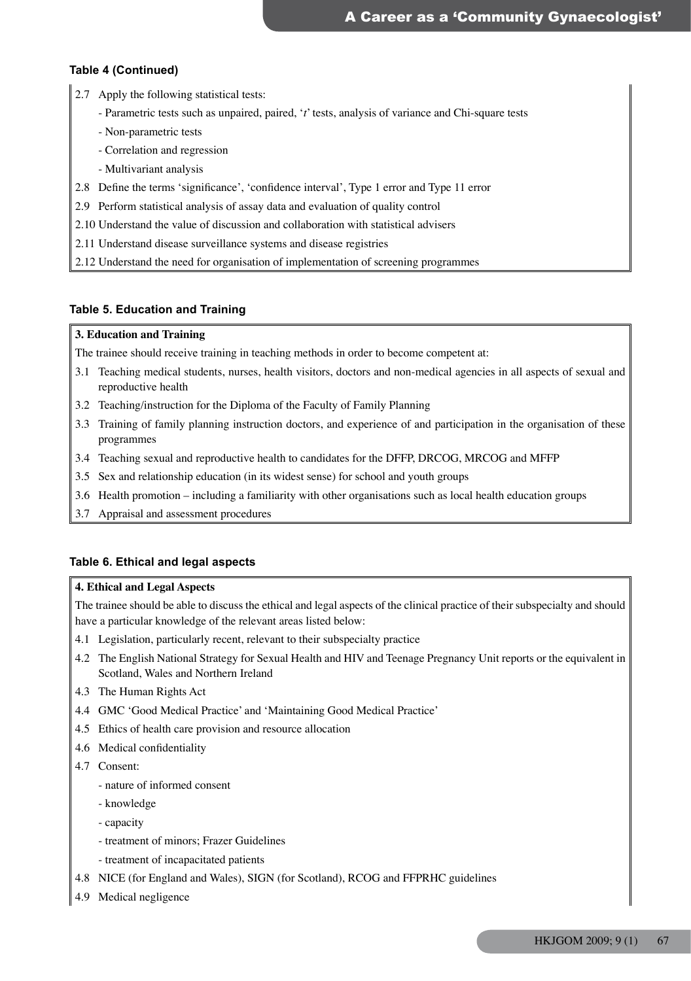### **Table 4 (Continued)**

- 2.7 Apply the following statistical tests:
	- Parametric tests such as unpaired, paired, '*t*' tests, analysis of variance and Chi-square tests
	- Non-parametric tests
	- Correlation and regression
	- Multivariant analysis
- 2.8 Define the terms 'significance', 'confidence interval', Type 1 error and Type 11 error
- 2.9 Perform statistical analysis of assay data and evaluation of quality control
- 2.10 Understand the value of discussion and collaboration with statistical advisers
- 2.11 Understand disease surveillance systems and disease registries
- 2.12 Understand the need for organisation of implementation of screening programmes

#### **Table 5. Education and Training**

#### **3. Education and Training**

The trainee should receive training in teaching methods in order to become competent at:

- 3.1 Teaching medical students, nurses, health visitors, doctors and non-medical agencies in all aspects of sexual and reproductive health
- 3.2 Teaching/instruction for the Diploma of the Faculty of Family Planning
- 3.3 Training of family planning instruction doctors, and experience of and participation in the organisation of these programmes
- 3.4 Teaching sexual and reproductive health to candidates for the DFFP, DRCOG, MRCOG and MFFP
- 3.5 Sex and relationship education (in its widest sense) for school and youth groups
- 3.6 Health promotion including a familiarity with other organisations such as local health education groups
- 3.7 Appraisal and assessment procedures

#### **Table 6. Ethical and legal aspects**

#### **4. Ethical and Legal Aspects**

The trainee should be able to discuss the ethical and legal aspects of the clinical practice of their subspecialty and should have a particular knowledge of the relevant areas listed below:

- 4.1 Legislation, particularly recent, relevant to their subspecialty practice
- 4.2 The English National Strategy for Sexual Health and HIV and Teenage Pregnancy Unit reports or the equivalent in Scotland, Wales and Northern Ireland
- 4.3 The Human Rights Act
- 4.4 GMC 'Good Medical Practice' and 'Maintaining Good Medical Practice'
- 4.5 Ethics of health care provision and resource allocation
- 4.6 Medical confidentiality
- 4.7 Consent:
	- nature of informed consent
	- knowledge
	- capacity
	- treatment of minors; Frazer Guidelines
	- treatment of incapacitated patients
- 4.8 NICE (for England and Wales), SIGN (for Scotland), RCOG and FFPRHC guidelines
- 4.9 Medical negligence